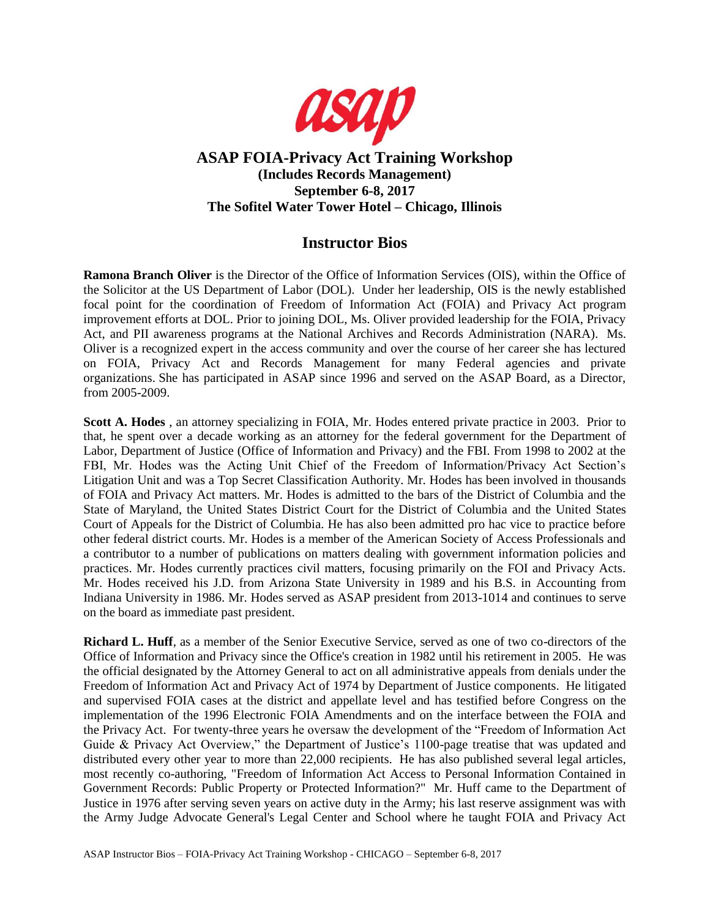

## **ASAP FOIA-Privacy Act Training Workshop (Includes Records Management) September 6-8, 2017 The Sofitel Water Tower Hotel – Chicago, Illinois**

## **Instructor Bios**

**Ramona Branch Oliver** is the Director of the Office of Information Services (OIS), within the Office of the Solicitor at the US Department of Labor (DOL). Under her leadership, OIS is the newly established focal point for the coordination of Freedom of Information Act (FOIA) and Privacy Act program improvement efforts at DOL. Prior to joining DOL, Ms. Oliver provided leadership for the FOIA, Privacy Act, and PII awareness programs at the National Archives and Records Administration (NARA). Ms. Oliver is a recognized expert in the access community and over the course of her career she has lectured on FOIA, Privacy Act and Records Management for many Federal agencies and private organizations. She has participated in ASAP since 1996 and served on the ASAP Board, as a Director, from 2005-2009.

**Scott A. Hodes** , an attorney specializing in FOIA, Mr. Hodes entered private practice in 2003. Prior to that, he spent over a decade working as an attorney for the federal government for the Department of Labor, Department of Justice (Office of Information and Privacy) and the FBI. From 1998 to 2002 at the FBI, Mr. Hodes was the Acting Unit Chief of the Freedom of Information/Privacy Act Section's Litigation Unit and was a Top Secret Classification Authority. Mr. Hodes has been involved in thousands of FOIA and Privacy Act matters. Mr. Hodes is admitted to the bars of the District of Columbia and the State of Maryland, the United States District Court for the District of Columbia and the United States Court of Appeals for the District of Columbia. He has also been admitted pro hac vice to practice before other federal district courts. Mr. Hodes is a member of the American Society of Access Professionals and a contributor to a number of publications on matters dealing with government information policies and practices. Mr. Hodes currently practices civil matters, focusing primarily on the FOI and Privacy Acts. Mr. Hodes received his J.D. from Arizona State University in 1989 and his B.S. in Accounting from Indiana University in 1986. Mr. Hodes served as ASAP president from 2013-1014 and continues to serve on the board as immediate past president.

**Richard L. Huff**, as a member of the Senior Executive Service, served as one of two co-directors of the Office of Information and Privacy since the Office's creation in 1982 until his retirement in 2005. He was the official designated by the Attorney General to act on all administrative appeals from denials under the Freedom of Information Act and Privacy Act of 1974 by Department of Justice components. He litigated and supervised FOIA cases at the district and appellate level and has testified before Congress on the implementation of the 1996 Electronic FOIA Amendments and on the interface between the FOIA and the Privacy Act. For twenty-three years he oversaw the development of the "Freedom of Information Act Guide & Privacy Act Overview," the Department of Justice's 1100-page treatise that was updated and distributed every other year to more than 22,000 recipients. He has also published several legal articles, most recently co-authoring, "Freedom of Information Act Access to Personal Information Contained in Government Records: Public Property or Protected Information?" Mr. Huff came to the Department of Justice in 1976 after serving seven years on active duty in the Army; his last reserve assignment was with the Army Judge Advocate General's Legal Center and School where he taught FOIA and Privacy Act